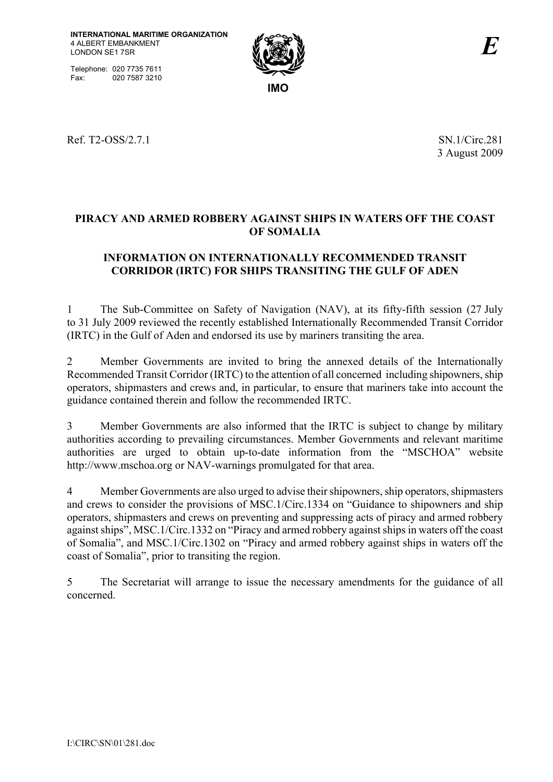Telephone: 020 7735 7611 Fax: 020 7587 3210



Ref. T2-OSS/2.7.1 SN.1/Circ.281

3 August 2009

# **PIRACY AND ARMED ROBBERY AGAINST SHIPS IN WATERS OFF THE COAST OF SOMALIA**

# **INFORMATION ON INTERNATIONALLY RECOMMENDED TRANSIT CORRIDOR (IRTC) FOR SHIPS TRANSITING THE GULF OF ADEN**

1 The Sub-Committee on Safety of Navigation (NAV), at its fifty-fifth session (27 July to 31 July 2009 reviewed the recently established Internationally Recommended Transit Corridor (IRTC) in the Gulf of Aden and endorsed its use by mariners transiting the area.

2 Member Governments are invited to bring the annexed details of the Internationally Recommended Transit Corridor (IRTC) to the attention of all concerned including shipowners, ship operators, shipmasters and crews and, in particular, to ensure that mariners take into account the guidance contained therein and follow the recommended IRTC.

3 Member Governments are also informed that the IRTC is subject to change by military authorities according to prevailing circumstances. Member Governments and relevant maritime authorities are urged to obtain up-to-date information from the "MSCHOA" website http://www.mschoa.org or NAV-warnings promulgated for that area.

4 Member Governments are also urged to advise their shipowners, ship operators, shipmasters and crews to consider the provisions of MSC.1/Circ.1334 on "Guidance to shipowners and ship operators, shipmasters and crews on preventing and suppressing acts of piracy and armed robbery against ships", MSC.1/Circ.1332 on "Piracy and armed robbery against ships in waters off the coast of Somalia", and MSC.1/Circ.1302 on "Piracy and armed robbery against ships in waters off the coast of Somalia", prior to transiting the region.

5 The Secretariat will arrange to issue the necessary amendments for the guidance of all concerned.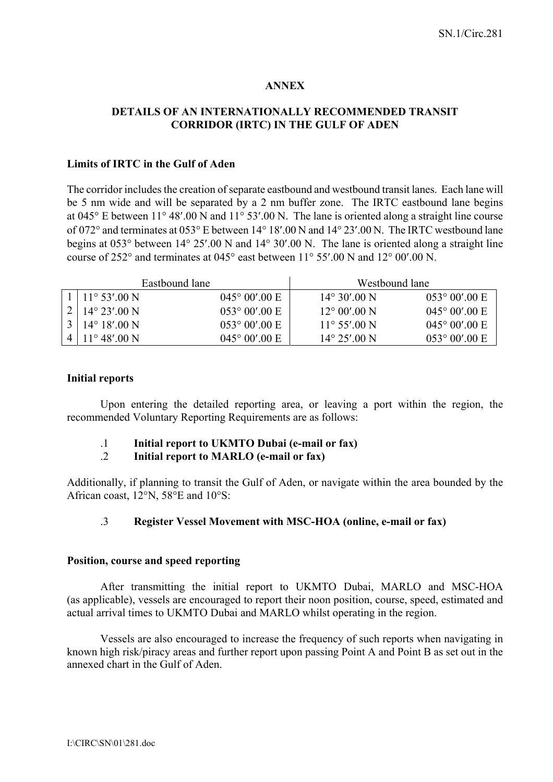### **ANNEX**

### **DETAILS OF AN INTERNATIONALLY RECOMMENDED TRANSIT CORRIDOR (IRTC) IN THE GULF OF ADEN**

#### **Limits of IRTC in the Gulf of Aden**

The corridor includes the creation of separate eastbound and westbound transit lanes. Each lane will be 5 nm wide and will be separated by a 2 nm buffer zone. The IRTC eastbound lane begins at 045° E between 11° 48′.00 N and 11° 53′.00 N. The lane is oriented along a straight line course of 072° and terminates at 053° E between 14° 18′.00 N and 14° 23′.00 N. The IRTC westbound lane begins at 053° between 14° 25′.00 N and 14° 30′.00 N. The lane is oriented along a straight line course of 252° and terminates at 045° east between 11° 55′.00 N and 12° 00′.00 N.

| Eastbound lane |                               |                         | Westbound lane         |                         |
|----------------|-------------------------------|-------------------------|------------------------|-------------------------|
|                | $1 \mid 11^{\circ} 53' .00 N$ | $045^{\circ} 00'$ .00 E | $14^{\circ} 30'$ ,00 N | $053^{\circ} 00' 00 E$  |
|                | $2 \mid 14^{\circ} 23'$ .00 N | $053^{\circ} 00'$ .00 E | $12^{\circ}$ 00'.00 N  | $045^{\circ} 00' 00 E$  |
|                | $3 \mid 14^{\circ} 18'$ .00 N | $053^{\circ} 00' 00 E$  | $11^{\circ}$ 55'.00 N  | $045^{\circ} 00' 00 E$  |
|                | $411^{\circ}48'00N$           | $045^{\circ} 00'$ .00 E | $14^{\circ}$ 25' 00 N  | $0.63^{\circ} 00' 00 E$ |

#### **Initial reports**

Upon entering the detailed reporting area, or leaving a port within the region, the recommended Voluntary Reporting Requirements are as follows:

- .1 **Initial report to UKMTO Dubai (e-mail or fax)**
- .2 **Initial report to MARLO (e-mail or fax)**

Additionally, if planning to transit the Gulf of Aden, or navigate within the area bounded by the African coast, 12°N, 58°E and 10°S:

### .3 **Register Vessel Movement with MSC-HOA (online, e-mail or fax)**

#### **Position, course and speed reporting**

After transmitting the initial report to UKMTO Dubai, MARLO and MSC-HOA (as applicable), vessels are encouraged to report their noon position, course, speed, estimated and actual arrival times to UKMTO Dubai and MARLO whilst operating in the region.

 Vessels are also encouraged to increase the frequency of such reports when navigating in known high risk/piracy areas and further report upon passing Point A and Point B as set out in the annexed chart in the Gulf of Aden.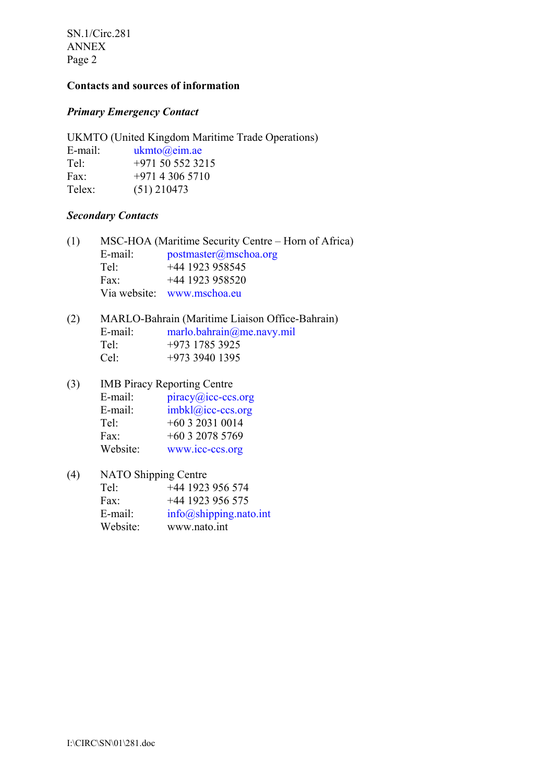SN.1/Circ.281 ANNEX Page 2

### **Contacts and sources of information**

### *Primary Emergency Contact*

UKMTO (United Kingdom Maritime Trade Operations)<br>E-mail: ukmto@eim.ae ukmto@eim.ae Tel: +971 50 552 3215 Fax: +971 4 306 5710 Telex: (51) 210473

### *Secondary Contacts*

| (1) | MSC-HOA (Maritime Security Centre – Horn of Africa) |                                 |  |  |
|-----|-----------------------------------------------------|---------------------------------|--|--|
|     | E-mail:                                             | $postmaster(\theta)$ mschoa.org |  |  |
|     | Te <sup>1</sup>                                     | +44 1923 958545                 |  |  |
|     | Fax:                                                | +44 1923 958520                 |  |  |
|     |                                                     | Via website: www.mschoa.eu      |  |  |

| MARLO-Bahrain (Maritime Liaison Office-Bahrain) |                           |  |  |
|-------------------------------------------------|---------------------------|--|--|
| E-mail:                                         | marlo.bahrain@me.navy.mil |  |  |
| Tel:                                            | $+973$ 1785 3925          |  |  |
| Ce <sup>1</sup>                                 | +973 3940 1395            |  |  |
|                                                 |                           |  |  |

| (3) | <b>IMB Piracy Reporting Centre</b> |                                |  |  |
|-----|------------------------------------|--------------------------------|--|--|
|     | E-mail:                            | $\text{piracy}(a)$ icc-ccs.org |  |  |
|     | E-mail:                            | imbkl@icc-ccs.org              |  |  |
|     | Tel:                               | $+60320310014$                 |  |  |
|     | Fax:                               | $+60320785769$                 |  |  |
|     | Website:                           | www.icc-ccs.org                |  |  |

## (4) NATO Shipping Centre Tel: +44 1923 956 574 Fax: +44 1923 956 575 E-mail: info@shipping.nato.int Website: www.nato.int